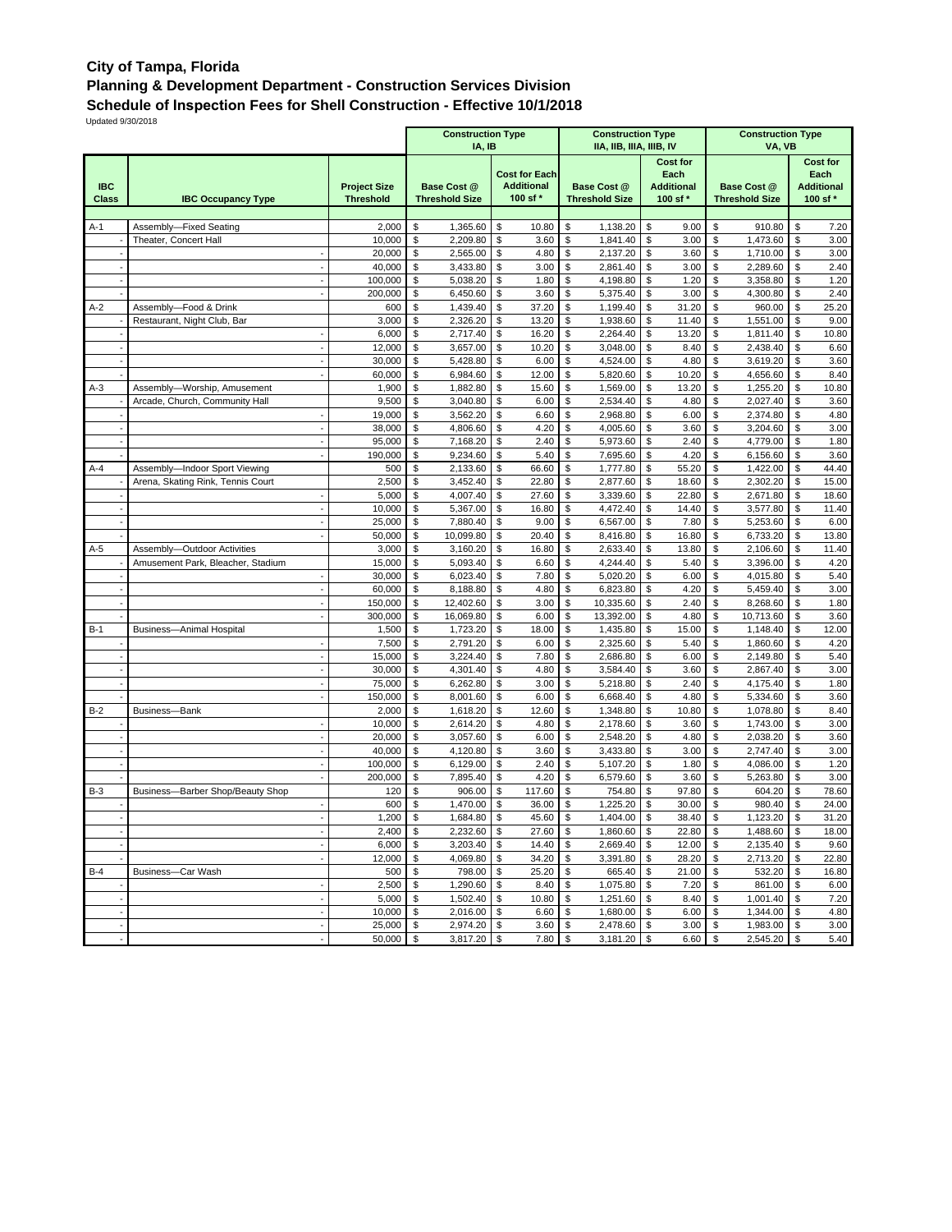## **City of Tampa, Florida Planning & Development Department - Construction Services Division**

**Schedule of Inspection Fees for Shell Construction - Effective 10/1/2018**

Updated 9/30/2018

|                            |                                                                      |                                    |          | <b>Construction Type</b><br><b>Construction Type</b><br>IIA, IIB, IIIA, IIIB, IV<br>IA, IB |          |                                                       |          |                                             |          | <b>Construction Type</b><br>VA, VB               |                                             |                      |                                                          |               |  |  |  |
|----------------------------|----------------------------------------------------------------------|------------------------------------|----------|--------------------------------------------------------------------------------------------|----------|-------------------------------------------------------|----------|---------------------------------------------|----------|--------------------------------------------------|---------------------------------------------|----------------------|----------------------------------------------------------|---------------|--|--|--|
| <b>IBC</b><br><b>Class</b> | <b>Project Size</b><br><b>IBC Occupancy Type</b><br><b>Threshold</b> |                                    |          | Base Cost @<br><b>Threshold Size</b>                                                       |          | <b>Cost for Each</b><br><b>Additional</b><br>100 sf * |          | <b>Base Cost @</b><br><b>Threshold Size</b> |          | Cost for<br>Each<br><b>Additional</b><br>100 sf* | <b>Base Cost @</b><br><b>Threshold Size</b> |                      | <b>Cost for</b><br>Each<br><b>Additional</b><br>100 sf * |               |  |  |  |
|                            |                                                                      |                                    | \$       |                                                                                            |          |                                                       |          |                                             |          |                                                  |                                             |                      |                                                          |               |  |  |  |
| A-1                        | Assembly-Fixed Seating<br>Theater, Concert Hall                      | 2,000<br>10,000                    | \$       | 1,365.60<br>2,209.80                                                                       | \$<br>\$ | 10.80<br>3.60                                         | \$<br>\$ | 1,138.20<br>1,841.40                        | \$<br>\$ | 9.00<br>3.00                                     | \$<br>\$                                    | 910.80<br>1,473.60   | \$<br>\$                                                 | 7.20<br>3.00  |  |  |  |
|                            |                                                                      | 20,000                             | \$       | 2,565.00                                                                                   | \$       | 4.80                                                  | \$       | 2,137.20                                    | \$       | 3.60                                             | \$                                          | 1,710.00             | \$                                                       | 3.00          |  |  |  |
|                            |                                                                      | 40,000                             | \$       | 3,433.80                                                                                   | \$       | 3.00                                                  | \$       | 2,861.40                                    | \$       | 3.00                                             | \$                                          | 2,289.60             | \$                                                       | 2.40          |  |  |  |
|                            |                                                                      | 100,000                            | \$       | 5,038.20                                                                                   | \$       | 1.80                                                  | \$       | 4,198.80                                    | \$       | 1.20                                             | \$                                          | 3,358.80             | \$                                                       | 1.20          |  |  |  |
|                            |                                                                      | 200,000                            | \$       | 6,450.60                                                                                   | \$       | 3.60                                                  | \$       | 5,375.40                                    | \$       | 3.00                                             | \$                                          | 4,300.80             | \$                                                       | 2.40          |  |  |  |
| $A-2$                      | Assembly-Food & Drink                                                | 600                                | \$       | 1,439.40                                                                                   | \$       | 37.20                                                 | \$       | 1,199.40                                    | \$       | 31.20                                            | \$                                          | 960.00               | \$                                                       | 25.20         |  |  |  |
|                            | Restaurant, Night Club, Bar                                          | 3,000                              | \$       | 2,326.20                                                                                   | \$       | 13.20                                                 | \$       | 1,938.60                                    | \$       | 11.40                                            | \$                                          | 1,551.00             | \$                                                       | 9.00          |  |  |  |
|                            |                                                                      | 6,000                              | \$       | 2,717.40                                                                                   | \$       | 16.20                                                 | \$       | 2,264.40                                    | \$       | 13.20                                            | \$                                          | 1,811.40             | \$                                                       | 10.80         |  |  |  |
|                            |                                                                      | 12,000                             | \$       | 3,657.00                                                                                   | \$       | 10.20                                                 | \$       | 3,048.00                                    | \$       | 8.40                                             | \$                                          | 2,438.40             | \$                                                       | 6.60          |  |  |  |
|                            |                                                                      | 30,000                             | \$       | 5,428.80                                                                                   | \$       | 6.00                                                  | \$       | 4,524.00                                    | \$       | 4.80                                             | \$                                          | 3,619.20             | \$                                                       | 3.60          |  |  |  |
|                            |                                                                      | 60,000                             | \$       | 6,984.60                                                                                   | \$       | 12.00                                                 | \$       | 5,820.60                                    | \$       | 10.20                                            | \$                                          | 4,656.60             | \$                                                       | 8.40          |  |  |  |
| $A-3$                      | Assembly-Worship, Amusement                                          | 1,900                              | \$       | 1,882.80                                                                                   | \$       | 15.60                                                 | \$       | 1,569.00                                    | \$       | 13.20                                            | \$                                          | 1,255.20             | \$                                                       | 10.80         |  |  |  |
|                            | Arcade, Church, Community Hall                                       | 9,500                              | \$       | 3,040.80                                                                                   | \$       | 6.00                                                  | \$       | 2,534.40                                    | \$       | 4.80                                             | \$                                          | 2,027.40             | \$                                                       | 3.60          |  |  |  |
|                            |                                                                      | 19,000                             | \$<br>\$ | 3,562.20                                                                                   | \$       | 6.60                                                  | \$       | 2,968.80                                    | \$       | 6.00                                             | \$<br>\$                                    | 2,374.80             | \$                                                       | 4.80<br>3.00  |  |  |  |
|                            |                                                                      | 38,000<br>95,000                   | \$       | 4,806.60<br>7,168.20                                                                       | \$<br>\$ | 4.20<br>2.40                                          | \$<br>\$ | 4,005.60<br>5,973.60                        | \$<br>\$ | 3.60<br>2.40                                     | \$                                          | 3,204.60<br>4,779.00 | \$<br>\$                                                 | 1.80          |  |  |  |
|                            |                                                                      | 190,000                            | \$       | 9,234.60                                                                                   | \$       | 5.40                                                  | \$       | 7,695.60                                    | \$       | 4.20                                             | \$                                          | 6,156.60             | \$                                                       | 3.60          |  |  |  |
| A-4                        | Assembly-Indoor Sport Viewing                                        | 500                                | \$       | 2,133.60                                                                                   | \$       | 66.60                                                 | \$       | 1,777.80                                    | \$       | 55.20                                            | \$                                          | 1,422.00             | \$                                                       | 44.40         |  |  |  |
|                            | Arena, Skating Rink, Tennis Court                                    | 2,500                              | \$       | 3,452.40                                                                                   | \$       | 22.80                                                 | \$       | 2,877.60                                    | \$       | 18.60                                            | \$                                          | 2,302.20             | \$                                                       | 15.00         |  |  |  |
|                            |                                                                      | 5,000                              | \$       | 4,007.40                                                                                   | \$       | 27.60                                                 | \$       | 3,339.60                                    | \$       | 22.80                                            | \$                                          | 2,671.80             | \$                                                       | 18.60         |  |  |  |
|                            |                                                                      | 10,000<br>$\overline{\phantom{a}}$ | \$       | 5,367.00                                                                                   | \$       | 16.80                                                 | \$       | 4,472.40                                    | \$       | 14.40                                            | \$                                          | 3,577.80             | \$                                                       | 11.40         |  |  |  |
|                            |                                                                      | 25,000                             | \$       | 7,880.40                                                                                   | \$       | 9.00                                                  | \$       | 6,567.00                                    | \$       | 7.80                                             | \$                                          | 5,253.60             | \$                                                       | 6.00          |  |  |  |
|                            |                                                                      | 50.000                             | \$       | 10,099.80                                                                                  | \$       | 20.40                                                 | \$       | 8,416.80                                    | \$       | 16.80                                            | \$                                          | 6,733.20             | \$                                                       | 13.80         |  |  |  |
| A-5                        | Assembly-Outdoor Activities                                          | 3,000                              | \$       | 3,160.20                                                                                   | \$       | 16.80                                                 | \$       | 2,633.40                                    | \$       | 13.80                                            | \$                                          | 2,106.60             | \$                                                       | 11.40         |  |  |  |
|                            | Amusement Park, Bleacher, Stadium                                    | 15,000                             | \$       | 5,093.40                                                                                   | \$       | 6.60                                                  | \$       | 4,244.40                                    | \$       | 5.40                                             | \$                                          | 3,396.00             | \$                                                       | 4.20          |  |  |  |
|                            |                                                                      | 30,000                             | \$       | 6,023.40                                                                                   | \$       | 7.80                                                  | \$       | 5,020.20                                    | \$       | 6.00                                             | \$                                          | 4,015.80             | \$                                                       | 5.40          |  |  |  |
|                            |                                                                      | 60,000                             | \$       | 8,188.80                                                                                   | \$       | 4.80                                                  | \$       | 6,823.80                                    | \$       | 4.20                                             | \$                                          | 5,459.40             | \$                                                       | 3.00          |  |  |  |
|                            |                                                                      | 150,000                            | \$       | 12,402.60                                                                                  | \$       | 3.00                                                  | \$       | 10,335.60                                   | \$       | 2.40                                             | \$                                          | 8,268.60             | \$                                                       | 1.80          |  |  |  |
| $B-1$                      |                                                                      | 300,000<br>1,500                   | \$<br>\$ | 16,069.80                                                                                  | \$<br>\$ | 6.00<br>18.00                                         | \$<br>\$ | 13,392.00                                   | \$<br>\$ | 4.80<br>15.00                                    | \$<br>\$                                    | 10,713.60            | \$<br>\$                                                 | 3.60<br>12.00 |  |  |  |
|                            | <b>Business-Animal Hospital</b>                                      | 7,500                              | \$       | 1,723.20<br>2,791.20                                                                       | \$       | 6.00                                                  | \$       | 1,435.80<br>2,325.60                        | \$       | 5.40                                             | \$                                          | 1,148.40<br>1,860.60 | \$                                                       | 4.20          |  |  |  |
|                            |                                                                      | 15,000<br>$\overline{a}$           | \$       | 3,224.40                                                                                   | \$       | 7.80                                                  | \$       | 2,686.80                                    | \$       | 6.00                                             | \$                                          | 2,149.80             | \$                                                       | 5.40          |  |  |  |
|                            |                                                                      | 30,000                             | \$       | 4,301.40                                                                                   | \$       | 4.80                                                  | \$       | 3,584.40                                    | \$       | 3.60                                             | \$                                          | 2,867.40             | \$                                                       | 3.00          |  |  |  |
|                            |                                                                      | 75,000                             | \$       | 6,262.80                                                                                   | \$       | 3.00                                                  | \$       | 5,218.80                                    | \$       | 2.40                                             | \$                                          | 4,175.40             | \$                                                       | 1.80          |  |  |  |
|                            |                                                                      | 150,000                            | \$       | 8,001.60                                                                                   | \$       | 6.00                                                  | \$       | 6,668.40                                    | \$       | 4.80                                             | \$                                          | 5,334.60             | \$                                                       | 3.60          |  |  |  |
| $B-2$                      | Business-Bank                                                        | 2,000                              | \$       | 1,618.20                                                                                   | \$       | 12.60                                                 | \$       | 1,348.80                                    | \$       | 10.80                                            | \$                                          | 1,078.80             | \$                                                       | 8.40          |  |  |  |
|                            |                                                                      | 10,000                             | \$       | 2,614.20                                                                                   | \$       | 4.80                                                  | \$       | 2,178.60                                    | \$       | 3.60                                             | \$                                          | 1,743.00             | \$                                                       | 3.00          |  |  |  |
|                            |                                                                      | 20,000                             | \$       | 3,057.60                                                                                   | \$       | 6.00                                                  | \$       | 2,548.20                                    | \$       | 4.80                                             | \$                                          | 2,038.20             | \$                                                       | 3.60          |  |  |  |
|                            |                                                                      | 40,000                             | \$       | 4,120.80                                                                                   | \$       | 3.60                                                  | \$       | 3,433.80                                    | \$       | 3.00                                             | \$                                          | 2,747.40             | \$                                                       | 3.00          |  |  |  |
|                            |                                                                      | 100,000                            | \$       | 6,129.00                                                                                   | \$       | 2.40                                                  | \$       | 5,107.20                                    | \$       | 1.80                                             | \$                                          | 4,086.00             | \$                                                       | 1.20          |  |  |  |
|                            |                                                                      | 200,000                            | \$       | 7,895.40                                                                                   | \$       | 4.20                                                  | \$       | 6,579.60                                    | \$       | 3.60                                             | \$                                          | 5,263.80             | \$                                                       | 3.00          |  |  |  |
| $B-3$                      | Business-Barber Shop/Beauty Shop                                     | 120                                | \$       | 906.00                                                                                     | \$       | 117.60                                                | \$       | 754.80                                      | \$       | 97.80                                            | \$                                          | 604.20               | \$                                                       | 78.60         |  |  |  |
|                            |                                                                      | 600                                | \$       | 1,470.00                                                                                   | \$       | 36.00                                                 | \$       | 1,225.20                                    | \$       | 30.00                                            | \$                                          | 980.40               | \$                                                       | 24.00         |  |  |  |
|                            |                                                                      | 1,200                              | \$       | 1,684.80                                                                                   | \$       | 45.60                                                 | \$       | 1,404.00                                    | \$       | 38.40                                            | \$                                          | 1,123.20             | \$                                                       | 31.20         |  |  |  |
|                            |                                                                      | $2,400$ \$<br>6,000                | \$       | 2,232.60 \$<br>3,203.40                                                                    |          | $27.60$ \$<br>14.40                                   | \$       | 1,860.60 \$                                 |          | 22.80<br>12.00                                   | \$<br>\$                                    | 1,488.60<br>2,135.40 | \$<br>\$                                                 | 18.00<br>9.60 |  |  |  |
|                            |                                                                      | 12,000                             | \$       | 4,069.80                                                                                   | \$<br>\$ | 34.20                                                 | \$       | 2,669.40 \$<br>3,391.80 \$                  |          | 28.20                                            | \$                                          | 2,713.20             | \$                                                       | 22.80         |  |  |  |
| $B-4$                      | Business-Car Wash                                                    | 500                                | \$       | 798.00 \$                                                                                  |          | 25.20                                                 | \$       | 665.40 \$                                   |          | 21.00                                            | \$                                          | 532.20               | \$                                                       | 16.80         |  |  |  |
|                            |                                                                      | 2,500                              | \$       | 1,290.60                                                                                   | \$       | 8.40                                                  | \$       | 1,075.80 \$                                 |          | 7.20                                             | \$                                          | 861.00               | \$                                                       | 6.00          |  |  |  |
|                            |                                                                      | 5,000                              | \$       | 1,502.40                                                                                   | \$       | 10.80                                                 | \$       | 1,251.60 \$                                 |          | 8.40                                             | \$                                          | 1,001.40             | \$                                                       | 7.20          |  |  |  |
|                            |                                                                      | 10,000                             | \$       | 2,016.00                                                                                   | \$       | 6.60                                                  | \$       | 1,680.00                                    | \$       | 6.00                                             | \$                                          | 1,344.00             | \$                                                       | 4.80          |  |  |  |
|                            |                                                                      | 25,000                             | \$       | 2,974.20                                                                                   | \$       | 3.60                                                  | \$       | 2,478.60                                    | \$       | 3.00                                             | \$                                          | 1,983.00             | \$                                                       | 3.00          |  |  |  |
|                            |                                                                      | 50,000                             | \$       | 3,817.20                                                                                   | \$       | 7.80                                                  | \$       | 3,181.20                                    | \$       | 6.60                                             | \$                                          | 2,545.20             | \$                                                       | 5.40          |  |  |  |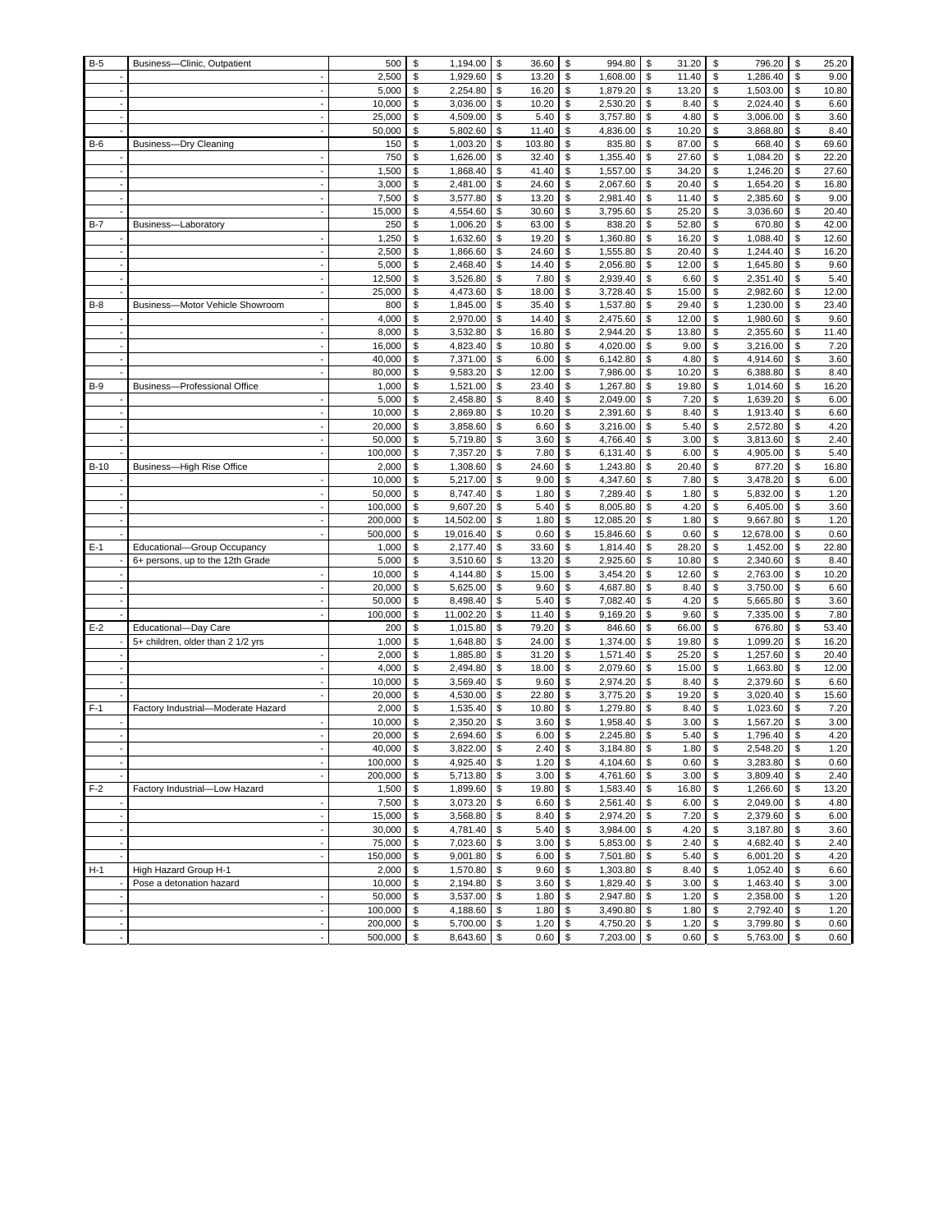| $B-5$  | Business-Clinic, Outpatient        | 500             | \$       | 1,194.00             | \$       | 36.60          | \$            | 994.80               | \$           | 31.20          | \$       | 796.20               | \$       | 25.20         |
|--------|------------------------------------|-----------------|----------|----------------------|----------|----------------|---------------|----------------------|--------------|----------------|----------|----------------------|----------|---------------|
|        |                                    | 2,500           | \$       | 1,929.60             | \$       | 13.20          | \$            | 1,608.00             | \$           | 11.40          | \$       | 1,286.40             | \$       | 9.00          |
|        |                                    | 5,000           | \$       | 2,254.80             | \$       | 16.20          | \$            | 1,879.20             | \$           | 13.20          | \$       | 1,503.00             | \$       | 10.80         |
|        |                                    | 10,000          | \$       | 3,036.00             | \$       | 10.20          | \$            | 2,530.20             | \$           | 8.40           | \$       | 2,024.40             | \$       | 6.60          |
|        |                                    | 25,000          | \$       | 4,509.00             | \$       | 5.40           | \$            | 3,757.80             | \$           | 4.80           | \$       | 3,006.00             | \$       | 3.60          |
|        |                                    | 50,000          | \$       | 5,802.60             | \$       | 11.40          | \$            | 4,836.00             | \$           | 10.20          | \$       | 3,868.80             | \$       | 8.40          |
| $B-6$  | <b>Business-Dry Cleaning</b>       | 150             | \$       | 1,003.20             | \$       | 103.80         | \$            | 835.80               | \$           | 87.00          | \$       | 668.40               | \$       | 69.60         |
|        |                                    | 750             | \$       | 1,626.00             | \$       | 32.40          | \$            | 1,355.40             | \$           | 27.60          | \$       | 1,084.20             | \$       | 22.20         |
|        |                                    | 1,500           | \$       | 1,868.40             | \$       | 41.40          | \$            | 1,557.00             | \$           | 34.20          | \$       | 1,246.20             | \$       | 27.60         |
|        |                                    | 3,000           | \$       | 2,481.00             | \$       | 24.60          | \$            | 2,067.60             | \$           | 20.40          | \$       | 1,654.20             | \$       | 16.80         |
|        |                                    | 7,500           | \$       | 3,577.80             | \$       | 13.20          | \$            | 2,981.40             | \$           | 11.40          | \$       | 2,385.60             | \$       | 9.00          |
|        |                                    | 15,000          | \$       | 4,554.60             | \$       | 30.60          | \$            | 3,795.60             | \$           | 25.20          | \$       | 3,036.60             | \$       | 20.40         |
| $B-7$  | Business-Laboratory                | 250             | \$       | 1,006.20             | \$       | 63.00          | \$            | 838.20               | \$           | 52.80          | \$       | 670.80               | \$       | 42.00         |
|        |                                    | 1,250           | \$<br>\$ | 1,632.60             | \$       | 19.20          | \$            | 1,360.80             | \$           | 16.20<br>20.40 | \$       | 1,088.40             | \$       | 12.60         |
|        |                                    | 2,500<br>5,000  | \$       | 1,866.60<br>2,468.40 | \$<br>\$ | 24.60<br>14.40 | \$<br>\$      | 1,555.80<br>2,056.80 | \$<br>\$     | 12.00          | \$<br>\$ | 1,244.40<br>1,645.80 | \$<br>\$ | 16.20<br>9.60 |
|        |                                    | 12,500          | \$       | 3,526.80             | \$       | 7.80           | \$            | 2,939.40             | \$           | 6.60           | \$       | 2,351.40             | \$       | 5.40          |
|        |                                    | 25,000          | \$       | 4,473.60             | \$       | 18.00          | \$            | 3,728.40             | \$           | 15.00          | \$       | 2,982.60             | \$       | 12.00         |
| $B-8$  | Business-Motor Vehicle Showroom    | 800             | \$       | 1,845.00             | \$       | 35.40          | \$            | 1,537.80             | \$           | 29.40          | \$       | 1,230.00             | \$       | 23.40         |
|        |                                    | 4,000           | \$       | 2,970.00             | \$       | 14.40          | \$            | 2,475.60             | \$           | 12.00          | \$       | 1,980.60             | \$       | 9.60          |
|        |                                    | 8,000           | \$       | 3,532.80             | \$       | 16.80          | \$            | 2,944.20             | \$           | 13.80          | \$       | 2,355.60             | \$       | 11.40         |
|        |                                    | 16,000          | \$       | 4,823.40             | \$       | 10.80          | \$            | 4,020.00             | \$           | 9.00           | \$       | 3,216.00             | \$       | 7.20          |
|        |                                    | 40,000          | \$       | 7,371.00             | \$       | 6.00           | \$            | 6,142.80             | \$           | 4.80           | \$       | 4,914.60             | \$       | 3.60          |
|        |                                    | 80,000          | \$       | 9,583.20             | \$       | 12.00          | \$            | 7,986.00             | \$           | 10.20          | \$       | 6,388.80             | \$       | 8.40          |
| $B-9$  | Business-Professional Office       | 1,000           | \$       | 1,521.00             | \$       | 23.40          | \$            | 1,267.80             | \$           | 19.80          | \$       | 1,014.60             | \$       | 16.20         |
|        |                                    | 5,000           | \$       | 2,458.80             | \$       | 8.40           | \$            | 2,049.00             | \$           | 7.20           | \$       | 1,639.20             | \$       | 6.00          |
|        |                                    | 10,000          | \$       | 2,869.80             | \$       | 10.20          | \$            | 2,391.60             | \$           | 8.40           | \$       | 1,913.40             | \$       | 6.60          |
|        |                                    | 20,000          | \$       | 3,858.60             | \$       | 6.60           | \$            | 3,216.00             | \$           | 5.40           | \$       | 2,572.80             | \$       | 4.20          |
|        |                                    | 50,000          | \$       | 5,719.80             | \$       | 3.60           | \$            | 4,766.40             | \$           | 3.00           | \$       | 3,813.60             | \$       | 2.40          |
|        |                                    | 100,000         | \$       | 7,357.20             | \$       | 7.80           | \$            | 6,131.40             | \$           | 6.00           | \$       | 4,905.00             | \$       | 5.40          |
| $B-10$ | Business-High Rise Office          | 2,000           | \$       | 1,308.60             | \$       | 24.60          | \$            | 1,243.80             | \$           | 20.40          | \$       | 877.20               | \$       | 16.80         |
|        |                                    | 10,000          | \$       | 5,217.00             | \$       | 9.00           | \$            | 4,347.60             | \$           | 7.80           | \$       | 3,478.20             | \$       | 6.00          |
|        |                                    | 50,000          | \$       | 8,747.40             | \$       | 1.80           | \$            | 7,289.40             | \$           | 1.80           | \$       | 5,832.00             | \$       | 1.20          |
|        |                                    | 100,000         | \$       | 9,607.20             | \$       | 5.40           | \$            | 8,005.80             | \$           | 4.20           | \$       | 6,405.00             | \$       | 3.60          |
|        |                                    | 200,000         | \$       | 14,502.00            | \$       | 1.80           | \$            | 12,085.20            | \$           | 1.80           | \$       | 9,667.80             | \$       | 1.20          |
|        |                                    | 500,000         | \$       | 19,016.40            | \$       | 0.60           | \$            | 15,846.60            | \$           | 0.60           | \$       | 12,678.00            | \$       | 0.60          |
| $E-1$  | Educational-Group Occupancy        | 1,000           | \$       | 2,177.40             | \$       | 33.60          | \$            | 1,814.40             | \$           | 28.20          | \$       | 1,452.00             | \$       | 22.80         |
|        | 6+ persons, up to the 12th Grade   | 5,000           | \$       | 3,510.60             | \$       | 13.20          | \$            | 2,925.60             | \$           | 10.80          | \$       | 2,340.60             | \$       | 8.40          |
|        |                                    | 10,000          | \$       | 4,144.80             | \$       | 15.00          | \$            | 3,454.20             | \$           | 12.60          | \$       | 2,763.00             | \$       | 10.20         |
|        |                                    | 20,000          | \$       | 5,625.00             | \$       | 9.60           | \$            | 4,687.80             | \$           | 8.40           | \$       | 3,750.00             | \$       | 6.60          |
|        |                                    | 50,000          | \$       | 8,498.40             | \$       | 5.40           | \$            | 7,082.40             | \$           | 4.20           | \$       | 5,665.80             | \$       | 3.60          |
|        |                                    | 100,000         | \$       | 11,002.20            | \$       | 11.40          | \$            | 9,169.20             | \$           | 9.60           | \$       | 7,335.00             | \$       | 7.80          |
| $E-2$  | Educational-Day Care               | 200             | \$       | 1,015.80             | \$       | 79.20          | \$            | 846.60               | \$           | 66.00          | \$       | 676.80               | \$       | 53.40         |
|        | 5+ children, older than 2 1/2 yrs  | 1,000           | \$       | 1,648.80             | \$       | 24.00          | \$            | 1,374.00             | \$           | 19.80          | \$       | 1,099.20             | \$       | 16.20         |
|        |                                    | 2,000           | \$       | 1,885.80             | \$       | 31.20          | \$            | 1,571.40             | \$           | 25.20          | \$       | 1,257.60             | \$       | 20.40         |
|        |                                    | 4,000           | \$       | 2,494.80             | \$       | 18.00          | \$            | 2,079.60             | \$           | 15.00          | \$       | 1,663.80             | \$       | 12.00         |
|        |                                    | 10,000          | \$<br>\$ | 3,569.40             | \$<br>\$ | 9.60           | \$<br>\$      | 2,974.20             | \$<br>\$     | 8.40           | \$<br>\$ | 2,379.60<br>3,020.40 | \$<br>\$ | 6.60          |
| $F-1$  | Factory Industrial-Moderate Hazard | 20,000<br>2,000 | \$       | 4,530.00<br>1,535.40 | \$       | 22.80<br>10.80 | \$            | 3,775.20<br>1,279.80 | \$           | 19.20<br>8.40  | \$       | 1,023.60             | \$       | 15.60<br>7.20 |
|        |                                    | 10,000          | \$       | 2,350.20             | \$       | 3.60           | \$            | 1,958.40             | \$           | 3.00           | \$       | 1,567.20             | \$       | 3.00          |
|        |                                    | 20,000          | \$       | 2,694.60             | \$       | 6.00           | \$            | 2,245.80             | \$           | 5.40           | \$       | 1,796.40             | \$       | 4.20          |
|        |                                    | 40,000          | \$       | 3,822.00             | \$       | 2.40           | ${\mathbb S}$ | 3,184.80             | $\mathbb{S}$ | 1.80           | \$       | 2,548.20             | \$       | 1.20          |
|        |                                    | 100,000         | \$       | 4,925.40             | \$       | 1.20           | \$            | 4,104.60             | \$           | 0.60           | \$       | 3,283.80             | \$       | 0.60          |
|        |                                    | 200,000         | \$       | 5,713.80             | \$       | 3.00           | \$            | 4,761.60             | \$           | 3.00           | \$       | 3,809.40             | \$       | 2.40          |
| $F-2$  | Factory Industrial-Low Hazard      | 1,500           | \$       | 1,899.60             | \$       | 19.80          | \$            | 1,583.40             | \$           | 16.80          | \$       | 1,266.60             | \$       | 13.20         |
|        |                                    | 7,500           | \$       | 3,073.20             | \$       | 6.60           | \$            | 2,561.40             | \$           | 6.00           | \$       | 2,049.00             | \$       | 4.80          |
|        |                                    | 15,000          | \$       | 3,568.80             | \$       | 8.40           | \$            | 2,974.20             | \$           | 7.20           | \$       | 2,379.60             | \$       | 6.00          |
|        |                                    | 30,000          | \$       | 4,781.40             | \$       | 5.40           | \$            | 3,984.00             | \$           | 4.20           | \$       | 3,187.80             | \$       | 3.60          |
|        |                                    | 75,000          | \$       | 7,023.60             | \$       | 3.00           | \$            | 5,853.00             | \$           | 2.40           | \$       | 4,682.40             | \$       | 2.40          |
|        |                                    | 150,000         | \$       | 9,001.80             | \$       | 6.00           | \$            | 7,501.80 \$          |              | 5.40           | \$       | 6,001.20             | \$       | 4.20          |
| $H-1$  | High Hazard Group H-1              | 2,000           | \$       | 1,570.80             | \$       | 9.60           | \$            | 1,303.80 \$          |              | 8.40           | \$       | 1,052.40             | \$       | 6.60          |
|        | Pose a detonation hazard           | 10,000          | \$       | 2,194.80             | \$       | 3.60           | \$            | 1,829.40 \$          |              | 3.00           | \$       | 1,463.40             | \$       | 3.00          |
|        |                                    | 50,000          | \$       | 3,537.00             | \$       | 1.80           | \$            | 2,947.80             | \$           | 1.20           | \$       | 2,358.00             | \$       | 1.20          |
|        |                                    | 100,000         | \$       | 4,188.60             | \$       | 1.80           | \$            | 3,490.80             | \$           | 1.80           | \$       | 2,792.40             | \$       | 1.20          |
|        |                                    | 200,000         | \$       | 5,700.00             | \$       | 1.20           | \$            | 4,750.20             | \$           | 1.20           | \$       | 3,799.80             | \$       | 0.60          |
|        |                                    | 500,000         | \$       | 8,643.60             | \$       | 0.60           | \$            | 7,203.00             | \$           | 0.60           | \$       | 5,763.00             | \$       | 0.60          |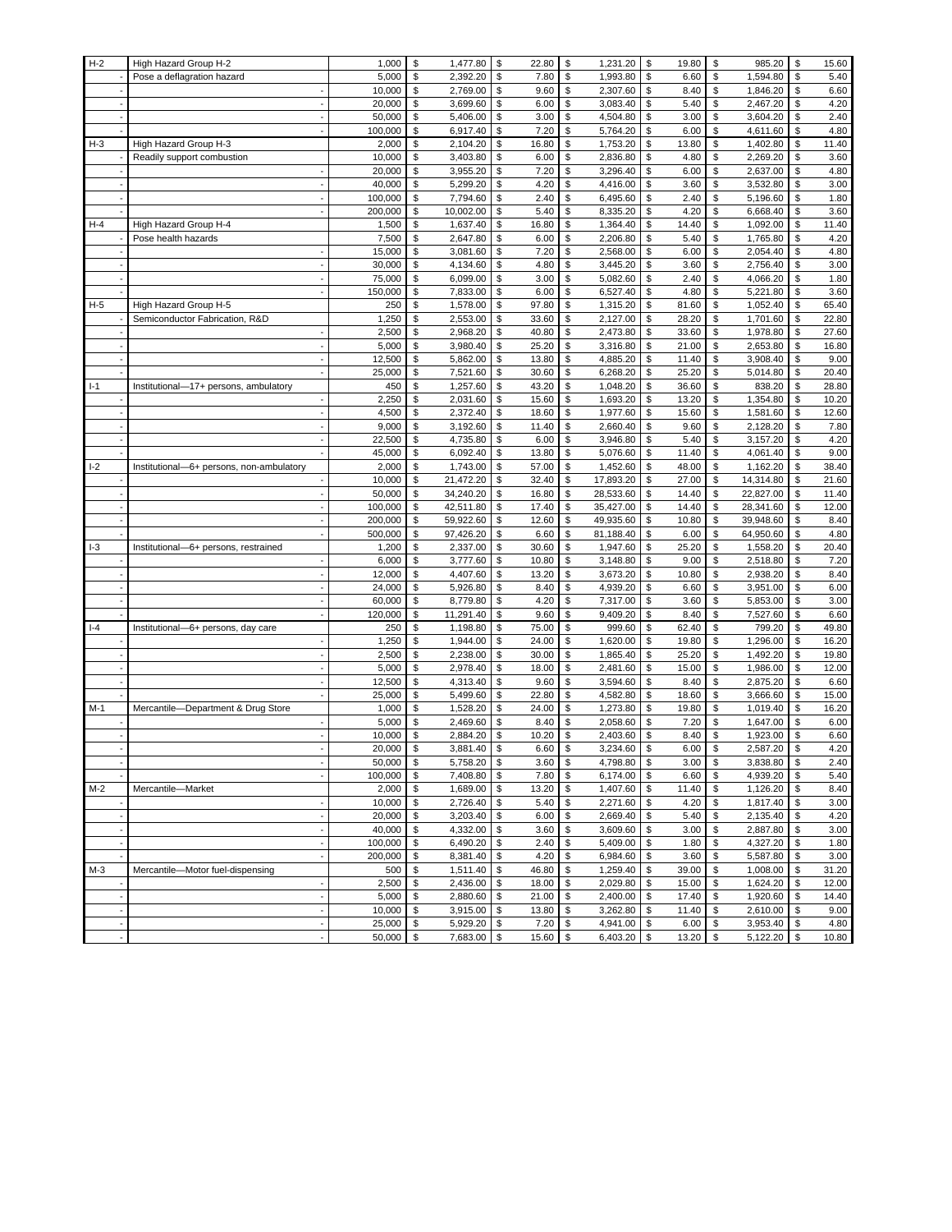| $H-2$ | High Hazard Group H-2                    | 1,000            | \$       | 1,477.80             | \$       | 22.80          | \$            | 1,231.20             | \$           | 19.80          | \$       | 985.20               | \$       | 15.60          |
|-------|------------------------------------------|------------------|----------|----------------------|----------|----------------|---------------|----------------------|--------------|----------------|----------|----------------------|----------|----------------|
|       | Pose a deflagration hazard               | 5,000            | \$       | 2,392.20             | \$       | 7.80           | \$            | 1,993.80             | \$           | 6.60           | \$       | 1,594.80             | \$       | 5.40           |
|       |                                          | 10,000           | \$       | 2,769.00             | \$       | 9.60           | \$            | 2,307.60             | \$           | 8.40           | \$       | 1,846.20             | \$       | 6.60           |
|       |                                          | 20,000           | \$       | 3,699.60             | \$       | 6.00           | \$            | 3,083.40             | \$           | 5.40           | \$       | 2,467.20             | \$       | 4.20           |
|       |                                          | 50,000           | \$       | 5,406.00             | \$       | 3.00           | \$            | 4,504.80             | \$           | 3.00           | \$       | 3,604.20             | \$       | 2.40           |
|       |                                          | 100,000          | \$       | 6,917.40             | \$       | 7.20           | \$            | 5,764.20             | \$           | 6.00           | \$       | 4,611.60             | \$       | 4.80           |
| $H-3$ | High Hazard Group H-3                    | 2,000            | \$       | 2,104.20             | \$       | 16.80          | \$            | 1,753.20             | \$           | 13.80          | \$       | 1,402.80             | \$       | 11.40          |
|       | Readily support combustion               | 10,000           | \$       | 3,403.80             | \$       | 6.00           | \$            | 2,836.80             | \$           | 4.80           | \$       | 2,269.20             | \$       | 3.60           |
|       |                                          | 20,000           | \$       | 3,955.20             | \$       | 7.20           | \$            | 3,296.40             | \$           | 6.00           | \$       | 2,637.00             | \$       | 4.80           |
|       |                                          | 40,000           | \$       | 5,299.20             | \$       | 4.20           | $\mathbb S$   | 4,416.00             | \$           | 3.60           | \$       | 3,532.80             | \$       | 3.00           |
|       |                                          | 100,000          | \$       | 7,794.60             | \$       | 2.40           | \$            | 6,495.60             | \$           | 2.40           | \$       | 5,196.60             | \$       | 1.80           |
|       |                                          | 200,000          | \$       | 10,002.00            | \$       | 5.40           | \$            | 8,335.20             | \$           | 4.20           | \$       | 6,668.40             | \$       | 3.60           |
| $H-4$ | High Hazard Group H-4                    | 1,500            | \$       | 1,637.40             | \$       | 16.80          | \$            | 1,364.40             | \$           | 14.40          | \$       | 1,092.00             | \$       | 11.40          |
|       | Pose health hazards                      | 7,500            | \$<br>\$ | 2,647.80             | \$       | 6.00           | \$            | 2,206.80             | \$           | 5.40<br>6.00   | \$<br>\$ | 1,765.80             | \$       | 4.20<br>4.80   |
|       |                                          | 15,000<br>30,000 | \$       | 3,081.60<br>4,134.60 | \$<br>\$ | 7.20<br>4.80   | \$<br>\$      | 2,568.00<br>3,445.20 | \$           | 3.60           | \$       | 2,054.40<br>2,756.40 | \$       | 3.00           |
|       |                                          | 75,000           | \$       | 6,099.00             | \$       | 3.00           | \$            | 5,082.60             | \$<br>\$     | 2.40           | \$       | 4,066.20             | \$<br>\$ | 1.80           |
|       |                                          | 150,000          | \$       | 7,833.00             | \$       | 6.00           | \$            | 6,527.40             | \$           | 4.80           | \$       | 5,221.80             | \$       | 3.60           |
| $H-5$ | High Hazard Group H-5                    | 250              | \$       | 1,578.00             | \$       | 97.80          | \$            | 1,315.20             | \$           | 81.60          | \$       | 1,052.40             | \$       | 65.40          |
|       | Semiconductor Fabrication, R&D           | 1,250            | \$       | 2,553.00             | \$       | 33.60          | \$            | 2,127.00             | \$           | 28.20          | \$       | 1,701.60             | \$       | 22.80          |
|       |                                          | 2,500            | \$       | 2,968.20             | \$       | 40.80          | \$            | 2,473.80             | \$           | 33.60          | \$       | 1,978.80             | \$       | 27.60          |
|       |                                          | 5,000            | \$       | 3,980.40             | \$       | 25.20          | \$            | 3,316.80             | \$           | 21.00          | \$       | 2,653.80             | \$       | 16.80          |
|       |                                          | 12,500           | \$       | 5,862.00             | \$       | 13.80          | \$            | 4,885.20             | \$           | 11.40          | \$       | 3,908.40             | \$       | 9.00           |
|       |                                          | 25,000           | \$       | 7,521.60             | \$       | 30.60          | \$            | 6,268.20             | \$           | 25.20          | \$       | 5,014.80             | \$       | 20.40          |
| $I-1$ | Institutional-17+ persons, ambulatory    | 450              | \$       | 1,257.60             | \$       | 43.20          | \$            | 1,048.20             | \$           | 36.60          | \$       | 838.20               | \$       | 28.80          |
|       |                                          | 2,250            | \$       | 2,031.60             | \$       | 15.60          | \$            | 1,693.20             | \$           | 13.20          | \$       | 1,354.80             | \$       | 10.20          |
|       |                                          | 4,500            | \$       | 2,372.40             | \$       | 18.60          | \$            | 1,977.60             | \$           | 15.60          | \$       | 1,581.60             | \$       | 12.60          |
|       |                                          | 9,000            | \$       | 3,192.60             | \$       | 11.40          | \$            | 2,660.40             | \$           | 9.60           | \$       | 2,128.20             | \$       | 7.80           |
|       |                                          | 22,500           | \$       | 4,735.80             | \$       | 6.00           | \$            | 3,946.80             | \$           | 5.40           | \$       | 3,157.20             | \$       | 4.20           |
|       |                                          | 45,000           | \$       | 6,092.40             | \$       | 13.80          | \$            | 5,076.60             | \$           | 11.40          | \$       | 4,061.40             | \$       | 9.00           |
| $I-2$ | Institutional-6+ persons, non-ambulatory | 2,000            | \$       | 1,743.00             | \$       | 57.00          | \$            | 1,452.60             | \$           | 48.00          | \$       | 1,162.20             | \$       | 38.40          |
|       |                                          | 10,000           | \$       | 21,472.20            | \$       | 32.40          | \$            | 17,893.20            | \$           | 27.00          | \$       | 14,314.80            | \$       | 21.60          |
|       |                                          | 50,000           | \$       | 34,240.20            | \$       | 16.80          | \$            | 28,533.60            | \$           | 14.40          | \$       | 22,827.00            | \$       | 11.40          |
|       |                                          | 100,000          | \$       | 42,511.80            | \$       | 17.40          | \$            | 35,427.00            | \$           | 14.40          | \$       | 28,341.60            | \$       | 12.00          |
|       |                                          | 200,000          | \$       | 59,922.60            | \$       | 12.60          | \$            | 49,935.60            | \$           | 10.80          | \$       | 39,948.60            | \$       | 8.40           |
|       |                                          | 500,000          | \$       | 97,426.20            | \$       | 6.60           | \$            | 81,188.40            | \$           | 6.00           | \$       | 64,950.60            | \$       | 4.80           |
| $I-3$ | Institutional-6+ persons, restrained     | 1,200            | \$       | 2,337.00             | \$       | 30.60          | \$            | 1,947.60             | \$           | 25.20          | \$       | 1,558.20             | \$       | 20.40          |
|       |                                          | 6,000            | \$       | 3,777.60             | \$       | 10.80          | \$            | 3,148.80             | \$           | 9.00           | \$       | 2,518.80             | \$       | 7.20           |
|       |                                          | 12,000           | \$       | 4,407.60             | \$       | 13.20          | \$            | 3,673.20             | \$           | 10.80          | \$       | 2,938.20             | \$       | 8.40           |
|       |                                          | 24,000           | \$       | 5,926.80             | \$       | 8.40           | \$            | 4,939.20             | \$           | 6.60           | \$       | 3,951.00             | \$       | 6.00           |
|       |                                          | 60,000           | \$<br>\$ | 8,779.80             | \$       | 4.20           | \$<br>\$      | 7,317.00             | \$           | 3.60           | \$       | 5,853.00             | \$       | 3.00           |
| $I-4$ |                                          | 120,000<br>250   | \$       | 11,291.40            | \$<br>\$ | 9.60<br>75.00  | \$            | 9,409.20<br>999.60   | \$<br>\$     | 8.40<br>62.40  | \$<br>\$ | 7,527.60<br>799.20   | \$<br>\$ | 6.60<br>49.80  |
|       | Institutional-6+ persons, day care       | 1,250            | \$       | 1,198.80<br>1,944.00 | \$       | 24.00          | \$            | 1,620.00             | \$           | 19.80          | \$       | 1,296.00             | \$       | 16.20          |
|       |                                          | 2,500            | \$       | 2,238.00             | \$       | 30.00          | \$            | 1,865.40             | \$           | 25.20          | \$       | 1,492.20             | \$       | 19.80          |
|       |                                          | 5,000            | \$       | 2,978.40             | \$       | 18.00          | \$            | 2,481.60             | \$           | 15.00          | \$       | 1,986.00             | \$       | 12.00          |
|       |                                          | 12,500           | \$       | 4,313.40             | \$       | 9.60           | \$            | 3,594.60             | \$           | 8.40           | \$       | 2,875.20             | \$       | 6.60           |
|       |                                          | 25,000           | \$       | 5,499.60             | \$       | 22.80          | \$            | 4,582.80             | \$           | 18.60          | \$       | 3,666.60             | \$       | 15.00          |
| $M-1$ | Mercantile-Department & Drug Store       | 1,000            | \$       | 1,528.20             | \$       | 24.00          | \$            | 1,273.80             | \$           | 19.80          | \$       | 1,019.40             | \$       | 16.20          |
|       |                                          | 5,000            | \$       | 2,469.60             | \$       | 8.40           | \$            | 2,058.60             | \$           | 7.20           | \$       | 1,647.00             | \$       | 6.00           |
|       |                                          | 10,000           | \$       | 2,884.20             | \$       | 10.20          | \$            | 2,403.60             | \$           | 8.40           | \$       | 1,923.00             | \$       | 6.60           |
|       |                                          | 20,000           | \$       | 3,881.40             | \$       | 6.60           | ${\mathbb S}$ | 3,234.60             | $\mathbb{S}$ | 6.00           | \$       | 2,587.20             | \$       | 4.20           |
|       |                                          | 50,000           | \$       | 5,758.20             | \$       | 3.60           | \$            | 4,798.80             | \$           | 3.00           | \$       | 3,838.80             | \$       | 2.40           |
|       |                                          | 100,000          | \$       | 7,408.80             | \$       | 7.80           | \$            | 6,174.00             | \$           | 6.60           | \$       | 4,939.20             | \$       | 5.40           |
| M-2   | Mercantile-Market                        | 2,000            | \$       | 1,689.00             | \$       | 13.20          | \$            | 1,407.60             | \$           | 11.40          | \$       | 1,126.20             | \$       | 8.40           |
|       |                                          | 10,000           | \$       | 2,726.40             | \$       | 5.40           | \$            | 2,271.60             | \$           | 4.20           | \$       | 1,817.40             | \$       | 3.00           |
|       |                                          | 20,000           | \$       | 3,203.40             | \$       | 6.00           | \$            | 2,669.40             | \$           | 5.40           | \$       | 2,135.40             | \$       | 4.20           |
|       |                                          | 40,000           | \$       | 4,332.00             | \$       | 3.60           | \$            | 3,609.60             | \$           | 3.00           | \$       | 2,887.80             | \$       | 3.00           |
|       |                                          | 100,000          | \$       | 6,490.20             | \$       | 2.40           | \$            | 5,409.00             | \$           | 1.80           | \$       | 4,327.20             | \$       | 1.80           |
|       |                                          | 200,000          | \$       | 8,381.40             | \$       | 4.20           | \$            | 6,984.60             | \$           | 3.60           | \$       | 5,587.80             | \$       | 3.00           |
| M-3   | Mercantile-Motor fuel-dispensing         | 500              | \$       | 1,511.40             | \$       | 46.80          | \$            | 1,259.40 \$          |              | 39.00          | \$       | 1,008.00             | \$       | 31.20          |
|       |                                          | 2,500<br>5,000   | \$<br>\$ | 2,436.00<br>2,880.60 | \$<br>\$ | 18.00          | \$<br>\$      | 2,029.80 \$          | \$           | 15.00<br>17.40 | \$<br>\$ | 1,624.20<br>1,920.60 | \$<br>\$ | 12.00<br>14.40 |
|       |                                          | 10,000           | \$       | 3,915.00             | \$       | 21.00<br>13.80 | \$            | 2,400.00<br>3,262.80 | \$           | 11.40          | \$       | 2,610.00             | \$       | 9.00           |
|       |                                          | 25,000           | \$       | 5,929.20             | \$       | 7.20           | \$            | 4,941.00             | \$           | 6.00           | \$       | 3,953.40             | \$       | 4.80           |
|       |                                          | 50,000           | \$       | 7,683.00             | \$       | 15.60          | \$            | 6,403.20             | \$           | 13.20          | \$       | 5,122.20             | \$       | 10.80          |
|       |                                          |                  |          |                      |          |                |               |                      |              |                |          |                      |          |                |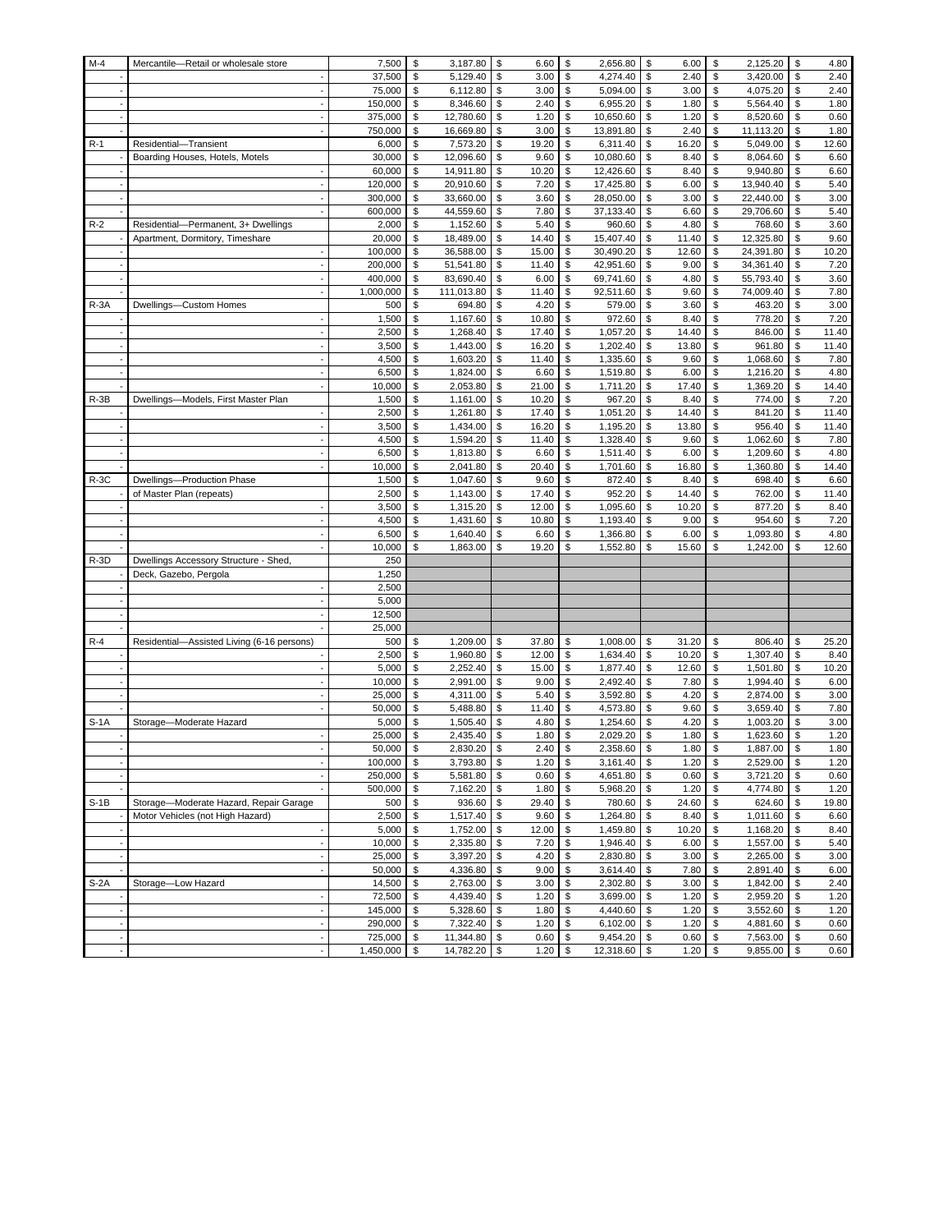| $M-4$    | Mercantile-Retail or wholesale store       | 7,500     | \$<br>3,187.80   | \$         | 6.60  | \$<br>2,656.80      | \$<br>6.00  | \$           | 2,125.20  | \$<br>4.80  |
|----------|--------------------------------------------|-----------|------------------|------------|-------|---------------------|-------------|--------------|-----------|-------------|
|          |                                            | 37,500    | \$<br>5,129.40   | \$         | 3.00  | \$<br>4,274.40      | \$<br>2.40  | \$           | 3,420.00  | \$<br>2.40  |
|          |                                            | 75,000    | \$<br>6,112.80   | \$         | 3.00  | \$<br>5,094.00      | \$<br>3.00  | \$           | 4,075.20  | \$<br>2.40  |
|          |                                            | 150,000   | \$<br>8,346.60   | \$         | 2.40  | \$<br>6,955.20      | \$<br>1.80  | \$           | 5,564.40  | \$<br>1.80  |
|          |                                            | 375,000   | \$<br>12,780.60  | \$         | 1.20  | \$<br>10,650.60     | \$<br>1.20  | \$           | 8,520.60  | \$<br>0.60  |
|          |                                            | 750,000   | \$<br>16,669.80  | \$         | 3.00  | \$<br>13,891.80     | \$<br>2.40  | \$           | 11,113.20 | \$<br>1.80  |
| $R-1$    | Residential-Transient                      | 6,000     | \$<br>7,573.20   | \$         | 19.20 | \$<br>6,311.40      | \$<br>16.20 | \$           | 5,049.00  | \$<br>12.60 |
|          | Boarding Houses, Hotels, Motels            | 30,000    | \$<br>12,096.60  | \$         | 9.60  | \$<br>10,080.60     | \$<br>8.40  | \$           | 8,064.60  | \$<br>6.60  |
|          |                                            | 60,000    | \$<br>14,911.80  | \$         | 10.20 | \$<br>12,426.60     | \$<br>8.40  | \$           | 9,940.80  | \$<br>6.60  |
|          |                                            | 120,000   | \$<br>20,910.60  | \$         | 7.20  | \$<br>17,425.80     | \$<br>6.00  | \$           | 13,940.40 | \$<br>5.40  |
|          |                                            | 300,000   | \$<br>33,660.00  | \$         | 3.60  | \$<br>28,050.00     | \$<br>3.00  | \$           | 22,440.00 | \$<br>3.00  |
|          |                                            | 600,000   | \$<br>44,559.60  | \$         | 7.80  | \$<br>37,133.40     | \$<br>6.60  | \$           | 29,706.60 | \$<br>5.40  |
| $R-2$    | Residential-Permanent, 3+ Dwellings        | 2,000     | \$<br>1,152.60   | \$         | 5.40  | \$<br>960.60        | \$<br>4.80  | \$           | 768.60    | \$<br>3.60  |
|          | Apartment, Dormitory, Timeshare            | 20,000    | \$<br>18,489.00  | \$         | 14.40 | \$<br>15,407.40     | \$<br>11.40 | \$           | 12,325.80 | \$<br>9.60  |
|          |                                            | 100,000   | \$<br>36,588.00  | \$         | 15.00 | \$<br>30,490.20     | \$<br>12.60 | \$           | 24,391.80 | \$<br>10.20 |
|          |                                            | 200,000   | \$<br>51,541.80  | \$         | 11.40 | \$<br>42,951.60     | \$<br>9.00  | \$           | 34,361.40 | \$<br>7.20  |
|          |                                            | 400,000   | \$<br>83,690.40  | \$         | 6.00  | \$<br>69,741.60     | \$<br>4.80  | \$           | 55,793.40 | \$<br>3.60  |
|          |                                            | 1,000,000 | \$<br>111,013.80 | \$         | 11.40 | \$<br>92,511.60     | \$<br>9.60  | \$           | 74,009.40 | \$<br>7.80  |
| $R - 3A$ | Dwellings-Custom Homes                     | 500       | \$<br>694.80     | \$         | 4.20  | \$<br>579.00        | \$<br>3.60  | \$           | 463.20    | \$<br>3.00  |
|          |                                            | 1,500     | \$<br>1,167.60   | \$         | 10.80 | \$<br>972.60        | \$<br>8.40  | \$           | 778.20    | \$<br>7.20  |
|          |                                            | 2,500     | \$<br>1,268.40   | \$         | 17.40 | \$<br>1,057.20      | \$<br>14.40 | \$           | 846.00    | \$<br>11.40 |
|          |                                            | 3,500     | \$<br>1,443.00   | \$         | 16.20 | \$<br>1,202.40      | \$<br>13.80 | \$           | 961.80    | \$<br>11.40 |
|          |                                            | 4,500     | \$<br>1,603.20   | \$         | 11.40 | \$<br>1,335.60      | \$<br>9.60  | \$           | 1,068.60  | \$<br>7.80  |
|          |                                            | 6,500     | \$<br>1,824.00   | \$         | 6.60  | \$<br>1,519.80      | \$<br>6.00  | \$           | 1,216.20  | \$<br>4.80  |
|          |                                            | 10,000    | \$<br>2,053.80   | \$         | 21.00 | \$<br>1,711.20      | \$<br>17.40 | \$           | 1,369.20  | \$<br>14.40 |
| $R-3B$   | Dwellings-Models, First Master Plan        | 1,500     | \$<br>1,161.00   | \$         | 10.20 | \$<br>967.20        | \$<br>8.40  | \$           | 774.00    | \$<br>7.20  |
|          |                                            | 2,500     | \$<br>1,261.80   | \$         | 17.40 | \$<br>1,051.20      | \$<br>14.40 | \$           | 841.20    | \$<br>11.40 |
|          |                                            | 3,500     | \$<br>1,434.00   | \$         | 16.20 | \$<br>1,195.20      | \$<br>13.80 | \$           | 956.40    | \$<br>11.40 |
|          |                                            | 4,500     | \$<br>1,594.20   | \$         | 11.40 | \$<br>1,328.40      | \$<br>9.60  | \$           | 1,062.60  | \$<br>7.80  |
|          |                                            | 6,500     | \$<br>1,813.80   | \$         | 6.60  | \$<br>1,511.40      | \$<br>6.00  | \$           | 1,209.60  | \$<br>4.80  |
|          |                                            | 10,000    | \$<br>2,041.80   | \$         | 20.40 | \$<br>1,701.60      | \$<br>16.80 | \$           | 1,360.80  | \$<br>14.40 |
| $R-3C$   | Dwellings-Production Phase                 | 1,500     | \$<br>1,047.60   | \$         | 9.60  | \$<br>872.40        | \$<br>8.40  | \$           | 698.40    | \$<br>6.60  |
|          | of Master Plan (repeats)                   | 2,500     | \$<br>1,143.00   | \$         | 17.40 | \$<br>952.20        | \$<br>14.40 | \$           | 762.00    | \$<br>11.40 |
|          |                                            | 3,500     | \$<br>1,315.20   | \$         | 12.00 | \$<br>1,095.60      | \$<br>10.20 | \$           | 877.20    | \$<br>8.40  |
|          |                                            | 4,500     | \$<br>1,431.60   | \$         | 10.80 | \$<br>1,193.40      | \$<br>9.00  | \$           | 954.60    | \$<br>7.20  |
|          |                                            | 6,500     | \$<br>1,640.40   | \$         | 6.60  | \$<br>1,366.80      | \$<br>6.00  | \$           | 1,093.80  | \$<br>4.80  |
|          |                                            | 10,000    | \$<br>1,863.00   | \$         | 19.20 | \$<br>1,552.80      | \$<br>15.60 | \$           | 1,242.00  | \$<br>12.60 |
| $R-3D$   | Dwellings Accessory Structure - Shed,      | 250       |                  |            |       |                     |             |              |           |             |
|          | Deck, Gazebo, Pergola                      | 1,250     |                  |            |       |                     |             |              |           |             |
|          |                                            | 2,500     |                  |            |       |                     |             |              |           |             |
|          |                                            | 5,000     |                  |            |       |                     |             |              |           |             |
|          |                                            | 12,500    |                  |            |       |                     |             |              |           |             |
|          |                                            | 25,000    |                  |            |       |                     |             |              |           |             |
| $R-4$    | Residential-Assisted Living (6-16 persons) | 500       | \$<br>1,209.00   | \$         | 37.80 | \$<br>1,008.00      | \$<br>31.20 | \$           | 806.40    | \$<br>25.20 |
|          |                                            | 2,500     | \$<br>1,960.80   | \$         | 12.00 | \$<br>1,634.40      | \$<br>10.20 | \$           | 1,307.40  | \$<br>8.40  |
|          |                                            | 5,000     | \$<br>2,252.40   | \$         | 15.00 | \$<br>1,877.40      | \$<br>12.60 | \$           | 1,501.80  | \$<br>10.20 |
|          |                                            | 10,000    | \$<br>2,991.00   | \$         | 9.00  | \$<br>2,492.40      | \$<br>7.80  | \$           | 1,994.40  | \$<br>6.00  |
|          |                                            | 25,000    | \$<br>4,311.00   | \$         | 5.40  | \$<br>3,592.80      | \$<br>4.20  | \$           | 2,874.00  | \$<br>3.00  |
|          |                                            | 50,000    | \$<br>5,488.80   | \$         | 11.40 | \$<br>4,573.80      | \$<br>9.60  | \$           | 3,659.40  | \$<br>7.80  |
| $S-1A$   | Storage-Moderate Hazard                    | 5,000     | \$<br>1,505.40   | \$         | 4.80  | \$<br>1,254.60      | \$<br>4.20  | \$           | 1,003.20  | \$<br>3.00  |
|          |                                            | 25,000    | \$<br>2,435.40   | \$         | 1.80  | \$<br>2,029.20      | \$<br>1.80  | \$           | 1,623.60  | \$<br>1.20  |
|          |                                            | 50,000    | \$<br>2,830.20   | \$         | 2.40  | \$<br>2,358.60      | \$<br>1.80  | $\mathbb{S}$ | 1,887.00  | \$<br>1.80  |
|          |                                            | 100,000   | \$<br>3,793.80   | $\sqrt{3}$ | 1.20  | \$<br>$3,161.40$ \$ | 1.20        | \$           | 2,529.00  | \$<br>1.20  |
|          |                                            | 250,000   | \$<br>5,581.80   | \$         | 0.60  | \$<br>4,651.80 \$   | 0.60        | \$           | 3,721.20  | \$<br>0.60  |
|          |                                            | 500,000   | \$<br>7,162.20   | \$         | 1.80  | \$<br>5,968.20 \$   | 1.20        | \$           | 4,774.80  | \$<br>1.20  |
| $S-1B$   | Storage-Moderate Hazard, Repair Garage     | 500       | \$<br>936.60     | \$         | 29.40 | \$<br>780.60        | \$<br>24.60 | \$           | 624.60    | \$<br>19.80 |
|          | Motor Vehicles (not High Hazard)           | 2,500     | \$<br>1,517.40   | \$         | 9.60  | \$<br>1,264.80      | \$<br>8.40  | \$           | 1,011.60  | \$<br>6.60  |
|          |                                            | 5,000     | \$<br>1,752.00   | \$         | 12.00 | \$<br>1,459.80      | \$<br>10.20 | \$           | 1,168.20  | \$<br>8.40  |
|          |                                            | 10,000    | \$<br>2,335.80   | \$         | 7.20  | \$<br>1,946.40      | \$<br>6.00  | \$           | 1,557.00  | \$<br>5.40  |
|          |                                            | 25,000    | \$<br>3,397.20   | \$         | 4.20  | \$<br>2,830.80      | \$<br>3.00  | \$           | 2,265.00  | \$<br>3.00  |
|          |                                            | 50,000    | \$<br>4,336.80   | \$         | 9.00  | \$<br>$3,614.40$ \$ | 7.80        | \$           | 2,891.40  | \$<br>6.00  |
| $S-2A$   | Storage-Low Hazard                         | 14,500    | \$<br>2,763.00   | \$         | 3.00  | \$<br>2,302.80 \$   | 3.00        | \$           | 1,842.00  | \$<br>2.40  |
|          |                                            | 72,500    | \$<br>4,439.40   | \$         | 1.20  | \$<br>3,699.00      | \$<br>1.20  | \$           | 2,959.20  | \$<br>1.20  |
|          |                                            | 145,000   | \$<br>5,328.60   | \$         | 1.80  | \$<br>4,440.60 \$   | 1.20        | \$           | 3,552.60  | \$<br>1.20  |
|          |                                            | 290,000   | \$<br>7,322.40   | \$         | 1.20  | \$<br>6,102.00      | \$<br>1.20  | \$           | 4,881.60  | \$<br>0.60  |
|          | $\overline{\phantom{a}}$                   | 725,000   | \$<br>11,344.80  | \$         | 0.60  | \$<br>9,454.20      | \$<br>0.60  | \$           | 7,563.00  | \$<br>0.60  |
|          |                                            | 1,450,000 | \$<br>14,782.20  | \$         | 1.20  | \$<br>12,318.60     | \$<br>1.20  | \$           | 9,855.00  | \$<br>0.60  |
|          |                                            |           |                  |            |       |                     |             |              |           |             |